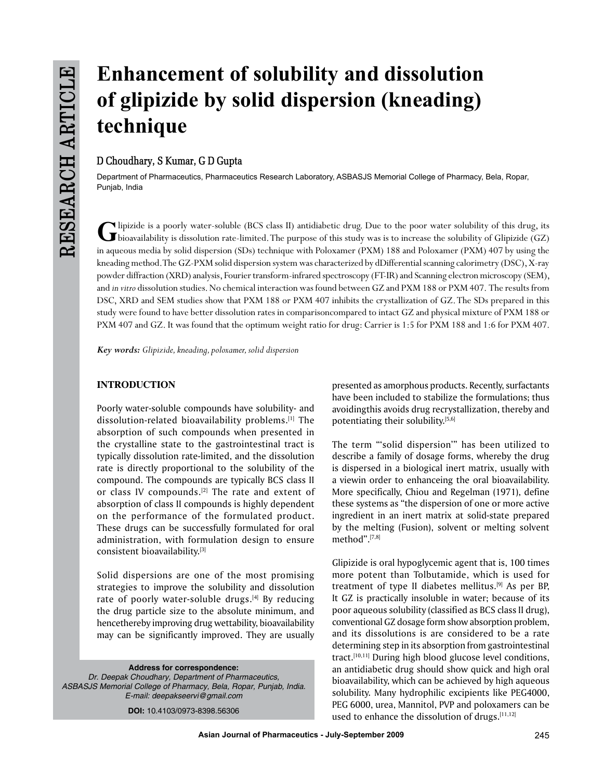# **Enhancement of solubility and dissolution of glipizide by solid dispersion (kneading) technique**

# **D Choudhary, S Kumar, G D Gupta**

Department of Pharmaceutics, Pharmaceutics Research Laboratory, ASBASJS Memorial College of Pharmacy, Bela, Ropar, Punjab, India

Clipizide is a poorly water-soluble (BCS class II) antidiabetic drug. Due to the poor water solubility of this drug, its<br>
U bioavailability is dissolution rate-limited. The purpose of this study was is to increase the solu in aqueous media by solid dispersion (SDs) technique with Poloxamer (PXM) 188 and Poloxamer (PXM) 407 by using the kneading method. The GZ-PXM solid dispersion system was characterized by dDifferential scanning calorimetry (DSC), X-ray powder diffraction (XRD) analysis, Fourier transform-infrared spectroscopy (FT-IR) and Scanning electron microscopy (SEM), and *in vitro* dissolution studies. No chemical interaction was found between GZ and PXM 188 or PXM 407. The results from DSC, XRD and SEM studies show that PXM 188 or PXM 407 inhibits the crystallization of GZ. The SDs prepared in this study were found to have better dissolution rates in comparisoncompared to intact GZ and physical mixture of PXM 188 or PXM 407 and GZ. It was found that the optimum weight ratio for drug: Carrier is 1:5 for PXM 188 and 1:6 for PXM 407.

*Key words: Glipizide, kneading, poloxamer, solid dispersion*

# **INTRODUCTION**

Poorly water-soluble compounds have solubility- and dissolution-related bioavailability problems.[1] The absorption of such compounds when presented in the crystalline state to the gastrointestinal tract is typically dissolution rate-limited, and the dissolution rate is directly proportional to the solubility of the compound. The compounds are typically BCS class II or class IV compounds.<sup>[2]</sup> The rate and extent of absorption of class II compounds is highly dependent on the performance of the formulated product. These drugs can be successfully formulated for oral administration, with formulation design to ensure consistent bioavailability.[3]

Solid dispersions are one of the most promising strategies to improve the solubility and dissolution rate of poorly water-soluble drugs. $[4]$  By reducing the drug particle size to the absolute minimum, and hencethereby improving drug wettability, bioavailability may can be significantly improved. They are usually

**Address for correspondence:** *Dr. Deepak Choudhary, Department of Pharmaceutics, ASBASJS Memorial College of Pharmacy, Bela, Ropar, Punjab, India. E-mail: deepakseervi@gmail.com*

**DOI:** 10.4103/0973-8398.56306

presented as amorphous products. Recently, surfactants have been included to stabilize the formulations; thus avoidingthis avoids drug recrystallization, thereby and potentiating their solubility.[5,6]

The term "'solid dispersion'" has been utilized to describe a family of dosage forms, whereby the drug is dispersed in a biological inert matrix, usually with a viewin order to enhanceing the oral bioavailability. More specifically, Chiou and Regelman (1971), define these systems as "the dispersion of one or more active ingredient in an inert matrix at solid-state prepared by the melting (Fusion), solvent or melting solvent method".[7,8]

Glipizide is oral hypoglycemic agent that is, 100 times more potent than Tolbutamide, which is used for treatment of type II diabetes mellitus.<sup>[9]</sup> As per BP, It GZ is practically insoluble in water; because of its poor aqueous solubility (classified as BCS class II drug), conventional GZ dosage form show absorption problem, and its dissolutions is are considered to be a rate determining step in its absorption from gastrointestinal tract.[10,11] During high blood glucose level conditions, an antidiabetic drug should show quick and high oral bioavailability, which can be achieved by high aqueous solubility. Many hydrophilic excipients like PEG4000, PEG 6000, urea, Mannitol, PVP and poloxamers can be used to enhance the dissolution of drugs. $[11,12]$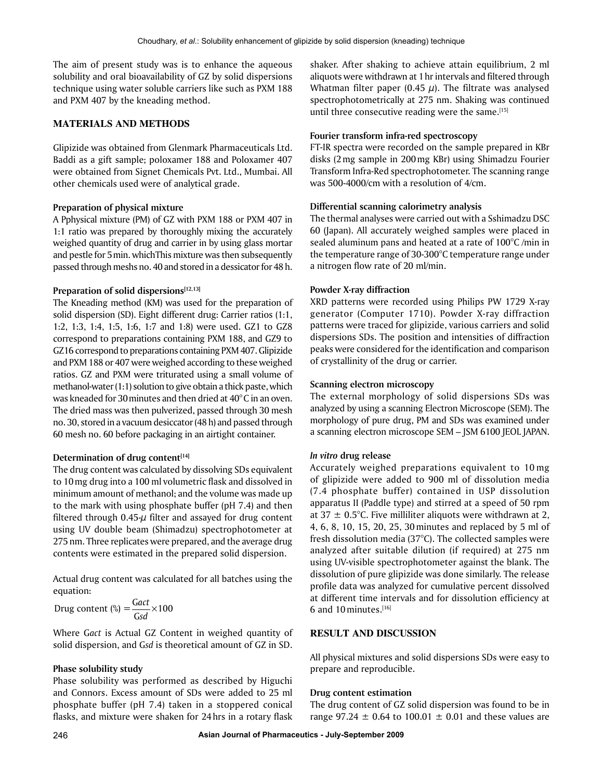The aim of present study was is to enhance the aqueous solubility and oral bioavailability of GZ by solid dispersions technique using water soluble carriers like such as PXM 188 and PXM 407 by the kneading method.

## **MATERIALs AND METHODS**

Glipizide was obtained from Glenmark Pharmaceuticals Ltd. Baddi as a gift sample; poloxamer 188 and Poloxamer 407 were obtained from Signet Chemicals Pvt. Ltd., Mumbai. All other chemicals used were of analytical grade.

## **Preparation of physical mixture**

A Pphysical mixture (PM) of GZ with PXM 188 or PXM 407 in 1:1 ratio was prepared by thoroughly mixing the accurately weighed quantity of drug and carrier in by using glass mortar and pestle for 5min. whichThis mixture was then subsequently passed through meshs no. 40 and stored in a dessicator for 48 h.

## **Preparation of solid dispersions**[12,13]

The Kneading method (KM) was used for the preparation of solid dispersion (SD). Eight different drug: Carrier ratios (1:1, 1:2, 1:3, 1:4, 1:5, 1:6, 1:7 and 1:8) were used. GZ1 to GZ8 correspond to preparations containing PXM 188, and GZ9 to GZ16 correspond to preparations containing PXM 407. Glipizide and PXM 188 or 407 were weighed according to these weighed ratios. GZ and PXM were triturated using a small volume of methanol-water (1:1) solution to give obtain a thick paste, which was kneaded for 30minutes and then dried at 40°C in an oven. The dried mass was then pulverized, passed through 30 mesh no. 30, stored in a vacuum desiccator (48 h) and passed through 60 mesh no. 60 before packaging in an airtight container.

## **Determination of drug content**<sup>[14]</sup>

The drug content was calculated by dissolving SDs equivalent to 10mg drug into a 100 ml volumetric flask and dissolved in minimum amount of methanol; and the volume was made up to the mark with using phosphate buffer (pH 7.4) and then filtered through  $0.45-\mu$  filter and assayed for drug content using UV double beam (Shimadzu) spectrophotometer at 275 nm. Three replicates were prepared, and the average drug contents were estimated in the prepared solid dispersion.

Actual drug content was calculated for all batches using the equation:

Drug content (%) =  $\frac{G}{G}$ *act*  $\frac{ac}{sd}$  × 100

Where G*act* is Actual GZ Content in weighed quantity of solid dispersion, and G*sd* is theoretical amount of GZ in SD.

## **Phase solubility study**

Phase solubility was performed as described by Higuchi and Connors. Excess amount of SDs were added to 25 ml phosphate buffer (pH 7.4) taken in a stoppered conical flasks, and mixture were shaken for 24hrs in a rotary flask shaker. After shaking to achieve attain equilibrium, 2 ml aliquots were withdrawn at 1hr intervals and filtered through Whatman filter paper (0.45  $\mu$ ). The filtrate was analysed spectrophotometrically at 275 nm. Shaking was continued until three consecutive reading were the same.<sup>[15]</sup>

## **Fourier transform infra-red spectroscopy**

FT-IR spectra were recorded on the sample prepared in KBr disks (2mg sample in 200mg KBr) using Shimadzu Fourier Transform Infra-Red spectrophotometer. The scanning range was 500-4000/cm with a resolution of 4/cm.

## **Differential scanning calorimetry analysis**

The thermal analyses were carried out with a Sshimadzu DSC 60 (Japan). All accurately weighed samples were placed in sealed aluminum pans and heated at a rate of 100°C /min in the temperature range of 30-300°C temperature range under a nitrogen flow rate of 20 ml/min.

## **Powder X-ray diffraction**

XRD patterns were recorded using Philips PW 1729 X-ray generator (Computer 1710). Powder X-ray diffraction patterns were traced for glipizide, various carriers and solid dispersions SDs. The position and intensities of diffraction peaks were considered for the identification and comparison of crystallinity of the drug or carrier.

## **Scanning electron microscopy**

The external morphology of solid dispersions SDs was analyzed by using a scanning Electron Microscope (SEM). The morphology of pure drug, PM and SDs was examined under a scanning electron microscope SEM – JSM 6100 JEOL JAPAN.

## *In vitro* **drug release**

Accurately weighed preparations equivalent to 10 mg of glipizide were added to 900 ml of dissolution media (7.4 phosphate buffer) contained in USP dissolution apparatus II (Paddle type) and stirred at a speed of 50 rpm at 37  $\pm$  0.5°C. Five milliliter aliquots were withdrawn at 2, 4, 6, 8, 10, 15, 20, 25, 30minutes and replaced by 5 ml of fresh dissolution media (37°C). The collected samples were analyzed after suitable dilution (if required) at 275 nm using UV-visible spectrophotometer against the blank. The dissolution of pure glipizide was done similarly. The release profile data was analyzed for cumulative percent dissolved at different time intervals and for dissolution efficiency at 6 and 10 minutes. $[16]$ 

# **RESULT AND DISCUSSION**

All physical mixtures and solid dispersions SDs were easy to prepare and reproducible.

## **Drug content estimation**

The drug content of GZ solid dispersion was found to be in range 97.24  $\pm$  0.64 to 100.01  $\pm$  0.01 and these values are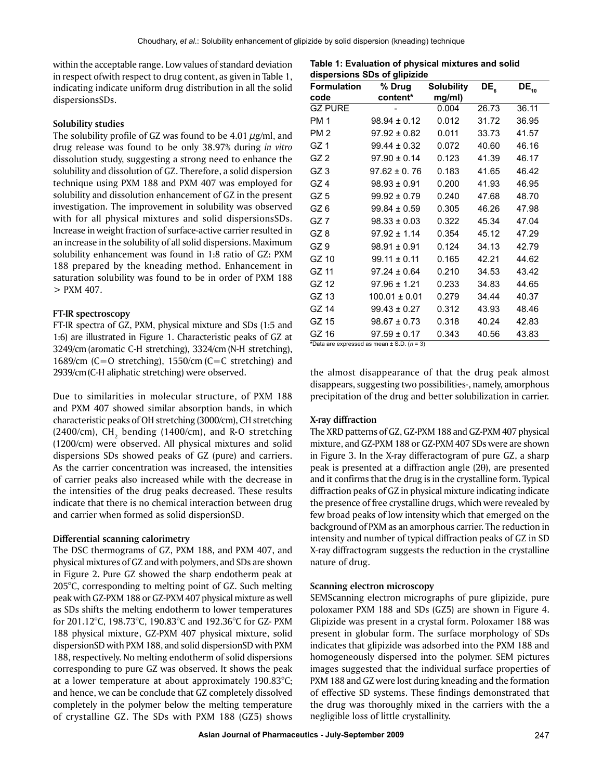within the acceptable range. Low values of standard deviation in respect ofwith respect to drug content, as given in Table 1, indicating indicate uniform drug distribution in all the solid dispersionsSDs.

## **Solubility studies**

The solubility profile of GZ was found to be 4.01  $\mu$ g/ml, and drug release was found to be only 38.97% during *in vitro* dissolution study, suggesting a strong need to enhance the solubility and dissolution of GZ. Therefore, a solid dispersion technique using PXM 188 and PXM 407 was employed for solubility and dissolution enhancement of GZ in the present investigation. The improvement in solubility was observed with for all physical mixtures and solid dispersionsSDs. Increase in weight fraction of surface-active carrier resulted in an increase in the solubility of all solid dispersions. Maximum solubility enhancement was found in 1:8 ratio of GZ: PXM 188 prepared by the kneading method. Enhancement in saturation solubility was found to be in order of PXM 188 > PXM 407.

# **FT-IR spectroscopy**

FT-IR spectra of GZ, PXM, physical mixture and SDs (1:5 and 1:6) are illustrated in Figure 1. Characteristic peaks of GZ at 3249/cm (aromatic C-H stretching), 3324/cm (N-H stretching), 1689/cm (C=O stretching), 1550/cm (C=C stretching) and 2939/cm(C-H aliphatic stretching) were observed.

Due to similarities in molecular structure, of PXM 188 and PXM 407 showed similar absorption bands, in which characteristic peaks of OH stretching (3000/cm), CH stretching (2400/cm),  $\text{CH}_\text{2}$  bending (1400/cm), and R-O stretching (1200/cm) were observed. All physical mixtures and solid dispersions SDs showed peaks of GZ (pure) and carriers. As the carrier concentration was increased, the intensities of carrier peaks also increased while with the decrease in the intensities of the drug peaks decreased. These results indicate that there is no chemical interaction between drug and carrier when formed as solid dispersionSD.

# **Differential scanning calorimetry**

The DSC thermograms of GZ, PXM 188, and PXM 407, and physical mixtures of GZ and with polymers, and SDs are shown in Figure 2. Pure GZ showed the sharp endotherm peak at 205°C, corresponding to melting point of GZ. Such melting peak with GZ-PXM 188 or GZ-PXM 407 physical mixture as well as SDs shifts the melting endotherm to lower temperatures for 201.12°C, 198.73°C, 190.83°C and 192.36°C for GZ- PXM 188 physical mixture, GZ-PXM 407 physical mixture, solid dispersionSD with PXM 188, and solid dispersionSD with PXM 188, respectively. No melting endotherm of solid dispersions corresponding to pure GZ was observed. It shows the peak at a lower temperature at about approximately 190.83°C; and hence, we can be conclude that GZ completely dissolved completely in the polymer below the melting temperature of crystalline GZ. The SDs with PXM 188 (GZ5) shows

**Table 1: Evaluation of physical mixtures and solid dispersions SDs of glipizide**

| <b>Formulation</b> | % Drug            | <b>Solubility</b> | DE <sub>6</sub> | $DE_{10}$ |
|--------------------|-------------------|-------------------|-----------------|-----------|
| code               | content*          | mg/ml)            |                 |           |
| <b>GZ PURE</b>     |                   | 0.004             | 26.73           | 36.11     |
| <b>PM1</b>         | $98.94 \pm 0.12$  | 0.012             | 31.72           | 36.95     |
| PM <sub>2</sub>    | $97.92 \pm 0.82$  | 0.011             | 33.73           | 41.57     |
| GZ <sub>1</sub>    | $99.44 \pm 0.32$  | 0.072             | 40.60           | 46.16     |
| GZ <sub>2</sub>    | $97.90 \pm 0.14$  | 0.123             | 41.39           | 46.17     |
| GZ <sub>3</sub>    | $97.62 \pm 0.76$  | 0.183             | 41.65           | 46.42     |
| GZ <sub>4</sub>    | $98.93 \pm 0.91$  | 0.200             | 41.93           | 46.95     |
| GZ <sub>5</sub>    | $99.92 \pm 0.79$  | 0.240             | 47.68           | 48.70     |
| GZ 6               | $99.84 \pm 0.59$  | 0.305             | 46.26           | 47.98     |
| GZ 7               | $98.33 \pm 0.03$  | 0.322             | 45.34           | 47.04     |
| GZ 8               | $97.92 \pm 1.14$  | 0.354             | 45.12           | 47.29     |
| GZ <sub>9</sub>    | $98.91 \pm 0.91$  | 0.124             | 34.13           | 42.79     |
| GZ 10              | $99.11 \pm 0.11$  | 0.165             | 42.21           | 44.62     |
| GZ 11              | $97.24 \pm 0.64$  | 0.210             | 34.53           | 43.42     |
| GZ 12              | $97.96 \pm 1.21$  | 0.233             | 34.83           | 44.65     |
| GZ 13              | $100.01 \pm 0.01$ | 0.279             | 34.44           | 40.37     |
| GZ 14              | $99.43 \pm 0.27$  | 0.312             | 43.93           | 48.46     |
| GZ 15              | $98.67 \pm 0.73$  | 0.318             | 40.24           | 42.83     |
| GZ 16              | $97.59 \pm 0.17$  | 0.343             | 40.56           | 43.83     |

**\***Data are expressed as mean ± S.D. (*n* = 3)

the almost disappearance of that the drug peak almost disappears, suggesting two possibilities-, namely, amorphous precipitation of the drug and better solubilization in carrier.

# **X-ray diffraction**

The XRD patterns of GZ, GZ-PXM 188 and GZ-PXM 407 physical mixture, and GZ-PXM 188 or GZ-PXM 407 SDs were are shown in Figure 3. In the X-ray differactogram of pure GZ, a sharp peak is presented at a diffraction angle (2θ), are presented and it confirms that the drug is in the crystalline form. Typical diffraction peaks of GZ in physical mixture indicating indicate the presence of free crystalline drugs, which were revealed by few broad peaks of low intensity which that emerged on the background of PXM as an amorphous carrier. The reduction in intensity and number of typical diffraction peaks of GZ in SD X-ray diffractogram suggests the reduction in the crystalline nature of drug.

# **Scanning electron microscopy**

SEMScanning electron micrographs of pure glipizide, pure poloxamer PXM 188 and SDs (GZ5) are shown in Figure 4. Glipizide was present in a crystal form. Poloxamer 188 was present in globular form. The surface morphology of SDs indicates that glipizide was adsorbed into the PXM 188 and homogeneously dispersed into the polymer. SEM pictures images suggested that the individual surface properties of PXM 188 and GZ were lost during kneading and the formation of effective SD systems. These findings demonstrated that the drug was thoroughly mixed in the carriers with the a negligible loss of little crystallinity.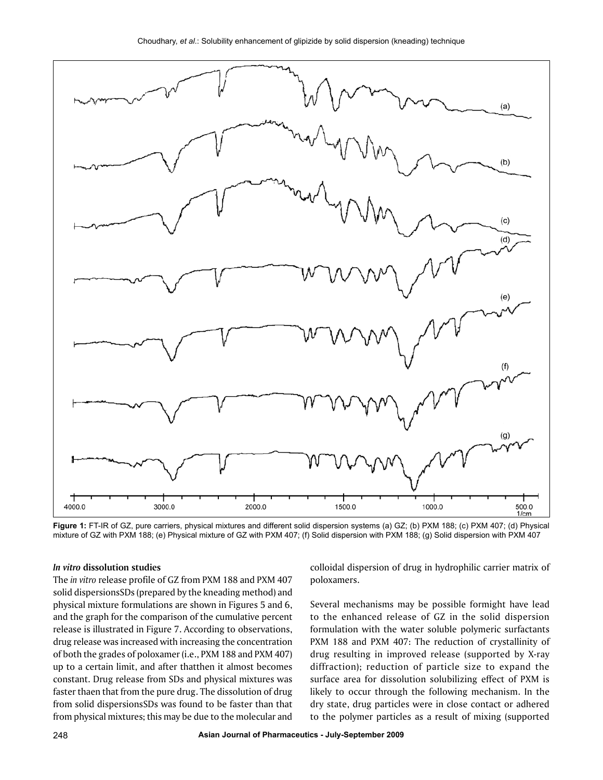

**Figure 1:** FT-IR of GZ, pure carriers, physical mixtures and different solid dispersion systems (a) GZ; (b) PXM 188; (c) PXM 407; (d) Physical mixture of GZ with PXM 188; (e) Physical mixture of GZ with PXM 407; (f) Solid dispersion with PXM 188; (g) Solid dispersion with PXM 407

#### *In vitro* **dissolution studies**

The *in vitro* release profile of GZ from PXM 188 and PXM 407 solid dispersionsSDs (prepared by the kneading method) and physical mixture formulations are shown in Figures 5 and 6, and the graph for the comparison of the cumulative percent release is illustrated in Figure 7. According to observations, drug release was increased with increasing the concentration of both the grades of poloxamer (i.e., PXM 188 and PXM 407) up to a certain limit, and after thatthen it almost becomes constant. Drug release from SDs and physical mixtures was faster thaen that from the pure drug. The dissolution of drug from solid dispersionsSDs was found to be faster than that from physical mixtures; this may be due to the molecular and colloidal dispersion of drug in hydrophilic carrier matrix of poloxamers.

Several mechanisms may be possible formight have lead to the enhanced release of GZ in the solid dispersion formulation with the water soluble polymeric surfactants PXM 188 and PXM 407: The reduction of crystallinity of drug resulting in improved release (supported by X-ray diffraction); reduction of particle size to expand the surface area for dissolution solubilizing effect of PXM is likely to occur through the following mechanism. In the dry state, drug particles were in close contact or adhered to the polymer particles as a result of mixing (supported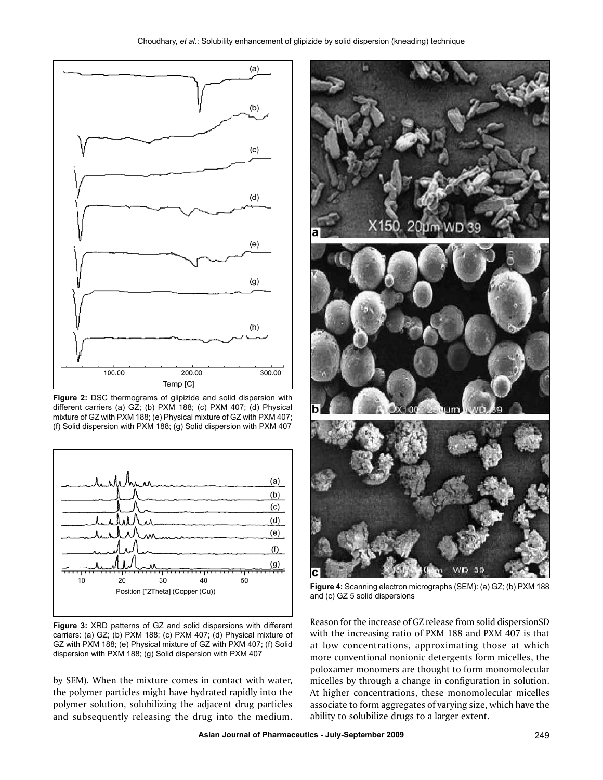

**Figure 2:** DSC thermograms of glipizide and solid dispersion with different carriers (a) GZ; (b) PXM 188; (c) PXM 407; (d) Physical mixture of GZ with PXM 188; (e) Physical mixture of GZ with PXM 407; (f) Solid dispersion with PXM 188; (g) Solid dispersion with PXM 407



**Figure 3:** XRD patterns of GZ and solid dispersions with different carriers: (a) GZ; (b) PXM 188; (c) PXM 407; (d) Physical mixture of GZ with PXM 188; (e) Physical mixture of GZ with PXM 407; (f) Solid dispersion with PXM 188; (g) Solid dispersion with PXM 407

by SEM). When the mixture comes in contact with water, the polymer particles might have hydrated rapidly into the polymer solution, solubilizing the adjacent drug particles and subsequently releasing the drug into the medium.



**Figure 4:** Scanning electron micrographs (SEM): (a) GZ; (b) PXM 188 and (c) GZ 5 solid dispersions

Reason for the increase of GZ release from solid dispersionSD with the increasing ratio of PXM 188 and PXM 407 is that at low concentrations, approximating those at which more conventional nonionic detergents form micelles, the poloxamer monomers are thought to form monomolecular micelles by through a change in configuration in solution. At higher concentrations, these monomolecular micelles associate to form aggregates of varying size, which have the ability to solubilize drugs to a larger extent.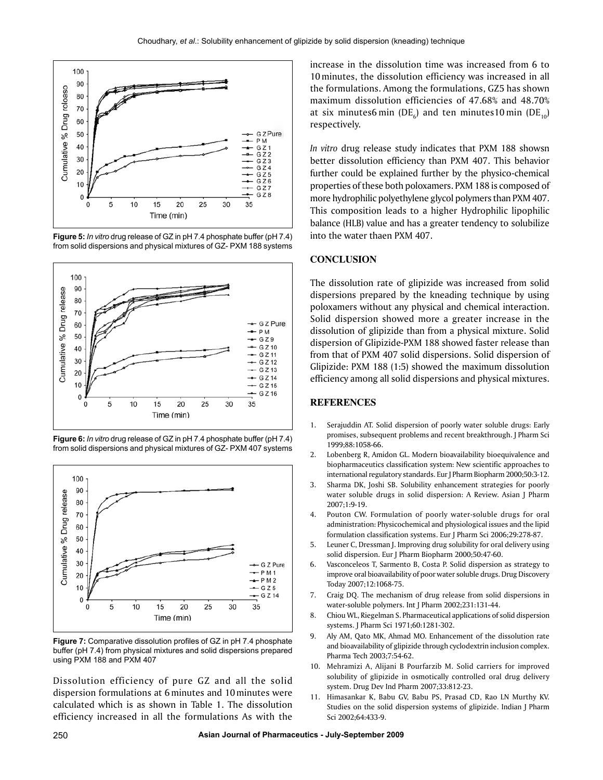

**Figure 5:** *In vitro* drug release of GZ in pH 7.4 phosphate buffer (pH 7.4) from solid dispersions and physical mixtures of GZ- PXM 188 systems



**Figure 6:** *In vitro* drug release of GZ in pH 7.4 phosphate buffer (pH 7.4) from solid dispersions and physical mixtures of GZ- PXM 407 systems



**Figure 7:** Comparative dissolution profiles of GZ in pH 7.4 phosphate buffer (pH 7.4) from physical mixtures and solid dispersions prepared using PXM 188 and PXM 407

Dissolution efficiency of pure GZ and all the solid dispersion formulations at 6minutes and 10minutes were calculated which is as shown in Table 1. The dissolution efficiency increased in all the formulations As with the increase in the dissolution time was increased from 6 to 10minutes, the dissolution efficiency was increased in all the formulations. Among the formulations, GZ5 has shown maximum dissolution efficiencies of 47.68% and 48.70% at six minutes6 $\min$  (DE<sub>6</sub>) and ten minutes10 $\min$  (DE<sub>10</sub>) respectively.

*In vitro* drug release study indicates that PXM 188 showsn better dissolution efficiency than PXM 407. This behavior further could be explained further by the physico-chemical properties of these both poloxamers. PXM 188 is composed of more hydrophilic polyethylene glycol polymers than PXM 407. This composition leads to a higher Hydrophilic lipophilic balance (HLB) value and has a greater tendency to solubilize into the water thaen PXM 407.

## **CONCLUSION**

The dissolution rate of glipizide was increased from solid dispersions prepared by the kneading technique by using poloxamers without any physical and chemical interaction. Solid dispersion showed more a greater increase in the dissolution of glipizide than from a physical mixture. Solid dispersion of Glipizide-PXM 188 showed faster release than from that of PXM 407 solid dispersions. Solid dispersion of Glipizide: PXM 188 (1:5) showed the maximum dissolution efficiency among all solid dispersions and physical mixtures.

#### **REFERENCES**

- 1. Serajuddin AT. Solid dispersion of poorly water soluble drugs: Early promises, subsequent problems and recent breakthrough. J Pharm Sci 1999;88:1058-66.
- 2. Lobenberg R, Amidon GL. Modern bioavailability bioequivalence and biopharmaceutics classification system: New scientific approaches to international regulatory standards. Eur J Pharm Biopharm 2000;50:3-12.
- 3. Sharma DK, Joshi SB. Solubility enhancement strategies for poorly water soluble drugs in solid dispersion: A Review. Asian J Pharm 2007;1:9-19.
- 4. Pouton CW. Formulation of poorly water-soluble drugs for oral administration: Physicochemical and physiological issues and the lipid formulation classification systems. Eur J Pharm Sci 2006;29:278-87.
- 5. Leuner C, Dressman J. Improving drug solubility for oral delivery using solid dispersion. Eur J Pharm Biopharm 2000;50:47-60.
- 6. Vasconceleos T, Sarmento B, Costa P. Solid dispersion as strategy to improve oral bioavailability of poor water soluble drugs. Drug Discovery Today 2007;12:1068-75.
- 7. Craig DQ. The mechanism of drug release from solid dispersions in water-soluble polymers. Int J Pharm 2002;231:131-44.
- 8. Chiou WL, Riegelman S. Pharmaceutical applications of solid dispersion systems. J Pharm Sci 1971;60:1281-302.
- 9. Aly AM, Qato MK, Ahmad MO. Enhancement of the dissolution rate and bioavailability of glipizide through cyclodextrin inclusion complex. Pharma Tech 2003;7:54-62.
- 10. Mehramizi A, Alijani B Pourfarzib M. Solid carriers for improved solubility of glipizide in osmotically controlled oral drug delivery system. Drug Dev Ind Pharm 2007;33:812-23.
- 11. Himasankar K, Babu GV, Babu PS, Prasad CD, Rao LN Murthy KV. Studies on the solid dispersion systems of glipizide. Indian J Pharm Sci 2002;64:433-9.